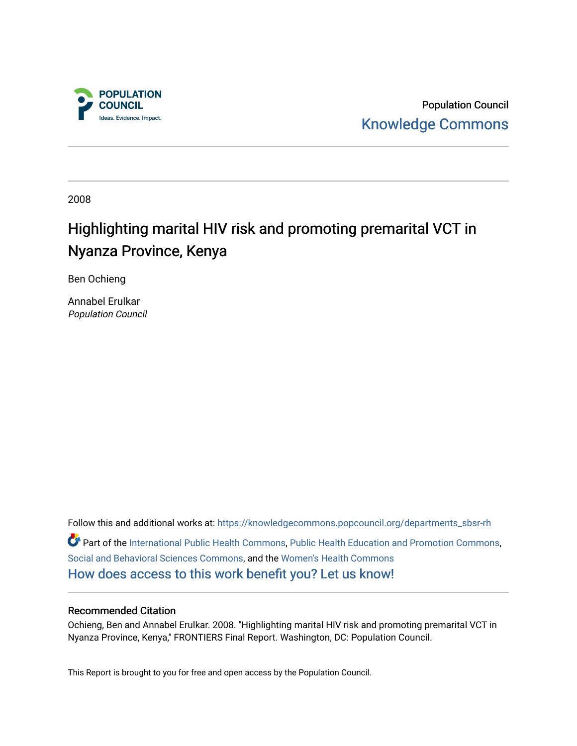

Population Council [Knowledge Commons](https://knowledgecommons.popcouncil.org/) 

2008

# Highlighting marital HIV risk and promoting premarital VCT in Nyanza Province, Kenya

Ben Ochieng

Annabel Erulkar Population Council

Follow this and additional works at: [https://knowledgecommons.popcouncil.org/departments\\_sbsr-rh](https://knowledgecommons.popcouncil.org/departments_sbsr-rh?utm_source=knowledgecommons.popcouncil.org%2Fdepartments_sbsr-rh%2F358&utm_medium=PDF&utm_campaign=PDFCoverPages)  Part of the [International Public Health Commons](https://network.bepress.com/hgg/discipline/746?utm_source=knowledgecommons.popcouncil.org%2Fdepartments_sbsr-rh%2F358&utm_medium=PDF&utm_campaign=PDFCoverPages), [Public Health Education and Promotion Commons](https://network.bepress.com/hgg/discipline/743?utm_source=knowledgecommons.popcouncil.org%2Fdepartments_sbsr-rh%2F358&utm_medium=PDF&utm_campaign=PDFCoverPages), [Social and Behavioral Sciences Commons](https://network.bepress.com/hgg/discipline/316?utm_source=knowledgecommons.popcouncil.org%2Fdepartments_sbsr-rh%2F358&utm_medium=PDF&utm_campaign=PDFCoverPages), and the [Women's Health Commons](https://network.bepress.com/hgg/discipline/1241?utm_source=knowledgecommons.popcouncil.org%2Fdepartments_sbsr-rh%2F358&utm_medium=PDF&utm_campaign=PDFCoverPages)  [How does access to this work benefit you? Let us know!](https://pcouncil.wufoo.com/forms/open-access-to-population-council-research/)

#### Recommended Citation

Ochieng, Ben and Annabel Erulkar. 2008. "Highlighting marital HIV risk and promoting premarital VCT in Nyanza Province, Kenya," FRONTIERS Final Report. Washington, DC: Population Council.

This Report is brought to you for free and open access by the Population Council.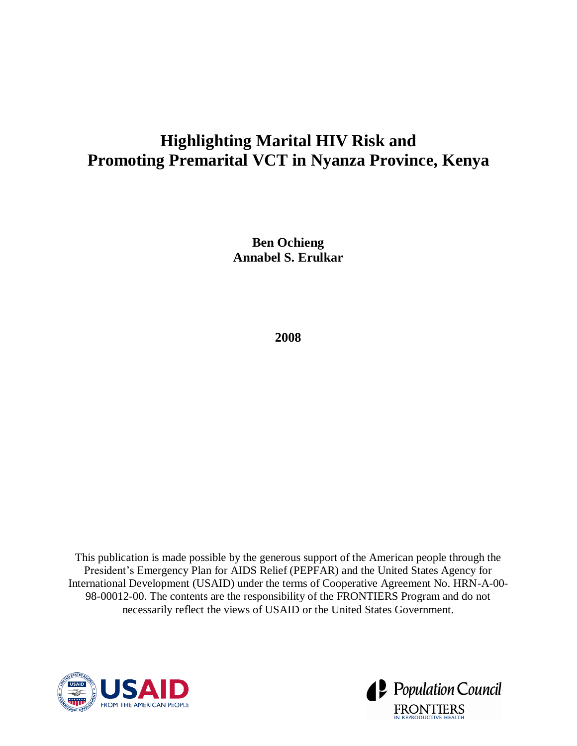## **Highlighting Marital HIV Risk and Promoting Premarital VCT in Nyanza Province, Kenya**

**Ben Ochieng Annabel S. Erulkar**

**2008**

This publication is made possible by the generous support of the American people through the President's Emergency Plan for AIDS Relief (PEPFAR) and the United States Agency for International Development (USAID) under the terms of Cooperative Agreement No. HRN-A-00- 98-00012-00. The contents are the responsibility of the FRONTIERS Program and do not necessarily reflect the views of USAID or the United States Government.



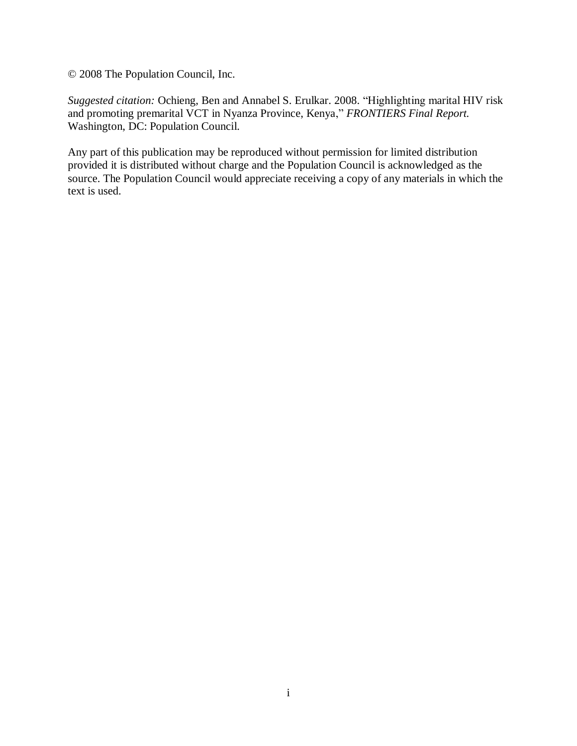© 2008 The Population Council, Inc.

*Suggested citation:* Ochieng, Ben and Annabel S. Erulkar. 2008. "Highlighting marital HIV risk and promoting premarital VCT in Nyanza Province, Kenya," *FRONTIERS Final Report.* Washington, DC: Population Council.

Any part of this publication may be reproduced without permission for limited distribution provided it is distributed without charge and the Population Council is acknowledged as the source. The Population Council would appreciate receiving a copy of any materials in which the text is used.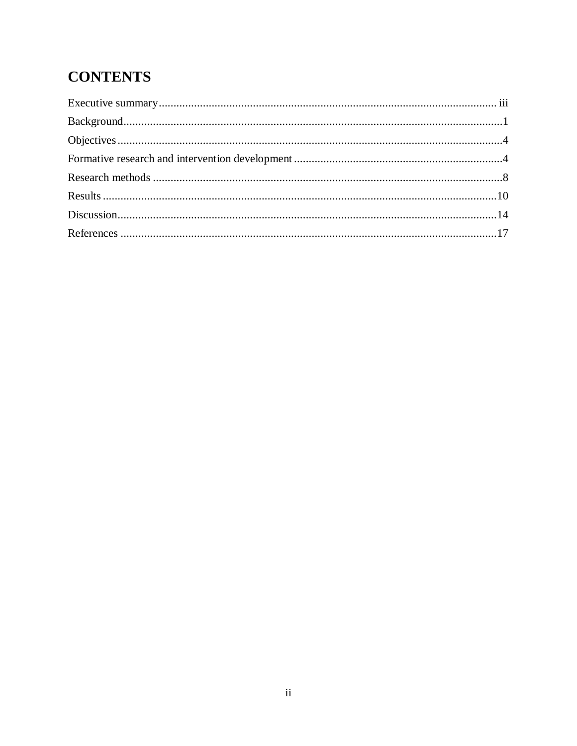# **CONTENTS**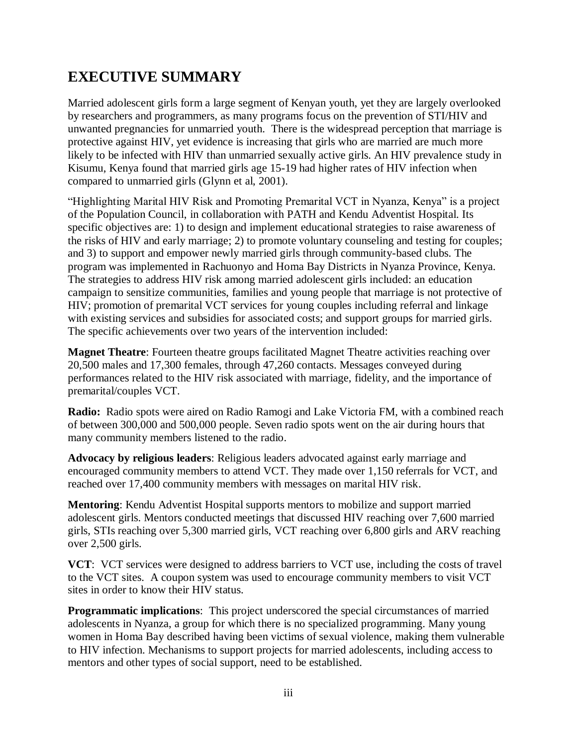## <span id="page-4-0"></span>**EXECUTIVE SUMMARY**

Married adolescent girls form a large segment of Kenyan youth, yet they are largely overlooked by researchers and programmers, as many programs focus on the prevention of STI/HIV and unwanted pregnancies for unmarried youth. There is the widespread perception that marriage is protective against HIV, yet evidence is increasing that girls who are married are much more likely to be infected with HIV than unmarried sexually active girls. An HIV prevalence study in Kisumu, Kenya found that married girls age 15-19 had higher rates of HIV infection when compared to unmarried girls (Glynn et al, 2001).

"Highlighting Marital HIV Risk and Promoting Premarital VCT in Nyanza, Kenya" is a project of the Population Council, in collaboration with PATH and Kendu Adventist Hospital. Its specific objectives are: 1) to design and implement educational strategies to raise awareness of the risks of HIV and early marriage; 2) to promote voluntary counseling and testing for couples; and 3) to support and empower newly married girls through community-based clubs. The program was implemented in Rachuonyo and Homa Bay Districts in Nyanza Province, Kenya. The strategies to address HIV risk among married adolescent girls included: an education campaign to sensitize communities, families and young people that marriage is not protective of HIV; promotion of premarital VCT services for young couples including referral and linkage with existing services and subsidies for associated costs; and support groups for married girls. The specific achievements over two years of the intervention included:

**Magnet Theatre**: Fourteen theatre groups facilitated Magnet Theatre activities reaching over 20,500 males and 17,300 females, through 47,260 contacts. Messages conveyed during performances related to the HIV risk associated with marriage, fidelity, and the importance of premarital/couples VCT.

**Radio:** Radio spots were aired on Radio Ramogi and Lake Victoria FM, with a combined reach of between 300,000 and 500,000 people. Seven radio spots went on the air during hours that many community members listened to the radio.

**Advocacy by religious leaders**: Religious leaders advocated against early marriage and encouraged community members to attend VCT. They made over 1,150 referrals for VCT, and reached over 17,400 community members with messages on marital HIV risk.

**Mentoring**: Kendu Adventist Hospital supports mentors to mobilize and support married adolescent girls. Mentors conducted meetings that discussed HIV reaching over 7,600 married girls, STIs reaching over 5,300 married girls, VCT reaching over 6,800 girls and ARV reaching over 2,500 girls.

**VCT**: VCT services were designed to address barriers to VCT use, including the costs of travel to the VCT sites. A coupon system was used to encourage community members to visit VCT sites in order to know their HIV status.

**Programmatic implications**: This project underscored the special circumstances of married adolescents in Nyanza, a group for which there is no specialized programming. Many young women in Homa Bay described having been victims of sexual violence, making them vulnerable to HIV infection. Mechanisms to support projects for married adolescents, including access to mentors and other types of social support, need to be established.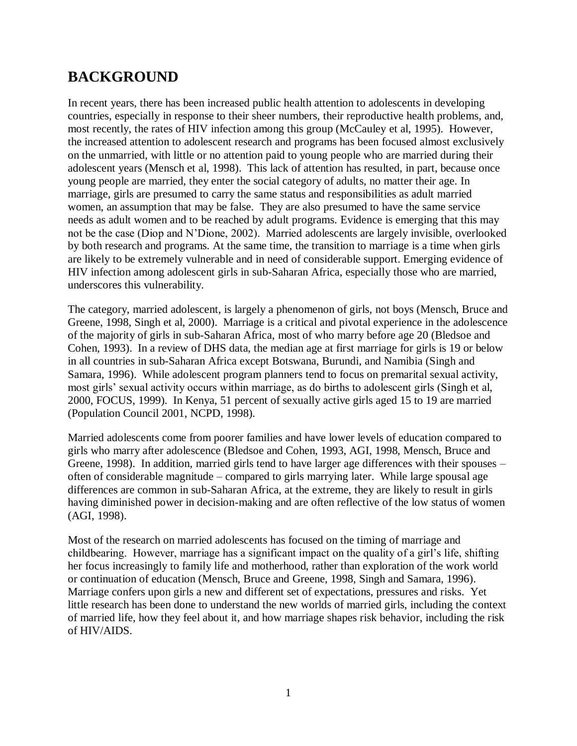### <span id="page-5-0"></span>**BACKGROUND**

In recent years, there has been increased public health attention to adolescents in developing countries, especially in response to their sheer numbers, their reproductive health problems, and, most recently, the rates of HIV infection among this group (McCauley et al, 1995). However, the increased attention to adolescent research and programs has been focused almost exclusively on the unmarried, with little or no attention paid to young people who are married during their adolescent years (Mensch et al, 1998). This lack of attention has resulted, in part, because once young people are married, they enter the social category of adults, no matter their age. In marriage, girls are presumed to carry the same status and responsibilities as adult married women, an assumption that may be false. They are also presumed to have the same service needs as adult women and to be reached by adult programs. Evidence is emerging that this may not be the case (Diop and N"Dione, 2002). Married adolescents are largely invisible, overlooked by both research and programs. At the same time, the transition to marriage is a time when girls are likely to be extremely vulnerable and in need of considerable support. Emerging evidence of HIV infection among adolescent girls in sub-Saharan Africa, especially those who are married, underscores this vulnerability.

The category, married adolescent, is largely a phenomenon of girls, not boys (Mensch, Bruce and Greene, 1998, Singh et al, 2000). Marriage is a critical and pivotal experience in the adolescence of the majority of girls in sub-Saharan Africa, most of who marry before age 20 (Bledsoe and Cohen, 1993). In a review of DHS data, the median age at first marriage for girls is 19 or below in all countries in sub-Saharan Africa except Botswana, Burundi, and Namibia (Singh and Samara, 1996). While adolescent program planners tend to focus on premarital sexual activity, most girls" sexual activity occurs within marriage, as do births to adolescent girls (Singh et al, 2000, FOCUS, 1999). In Kenya, 51 percent of sexually active girls aged 15 to 19 are married (Population Council 2001, NCPD, 1998).

Married adolescents come from poorer families and have lower levels of education compared to girls who marry after adolescence (Bledsoe and Cohen, 1993, AGI, 1998, Mensch, Bruce and Greene, 1998). In addition, married girls tend to have larger age differences with their spouses – often of considerable magnitude – compared to girls marrying later. While large spousal age differences are common in sub-Saharan Africa, at the extreme, they are likely to result in girls having diminished power in decision-making and are often reflective of the low status of women (AGI, 1998).

Most of the research on married adolescents has focused on the timing of marriage and childbearing. However, marriage has a significant impact on the quality of a girl"s life, shifting her focus increasingly to family life and motherhood, rather than exploration of the work world or continuation of education (Mensch, Bruce and Greene, 1998, Singh and Samara, 1996). Marriage confers upon girls a new and different set of expectations, pressures and risks. Yet little research has been done to understand the new worlds of married girls, including the context of married life, how they feel about it, and how marriage shapes risk behavior, including the risk of HIV/AIDS.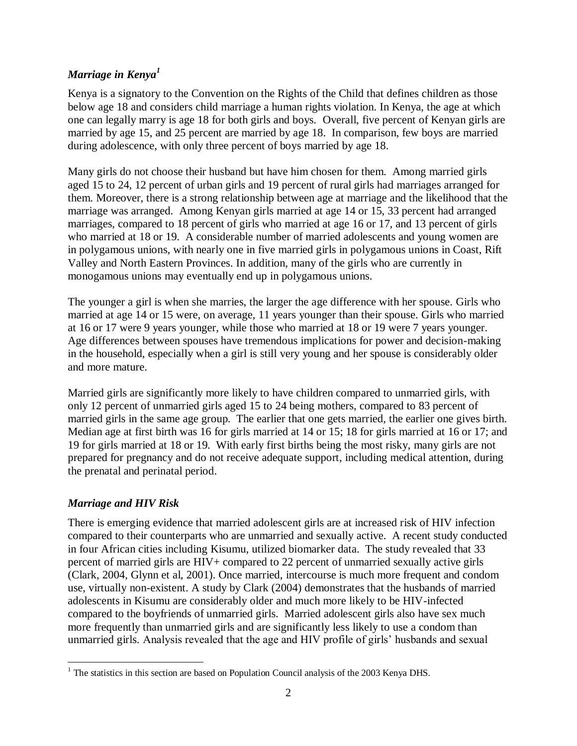### *Marriage in Kenya<sup>1</sup>*

Kenya is a signatory to the Convention on the Rights of the Child that defines children as those below age 18 and considers child marriage a human rights violation. In Kenya, the age at which one can legally marry is age 18 for both girls and boys. Overall, five percent of Kenyan girls are married by age 15, and 25 percent are married by age 18. In comparison, few boys are married during adolescence, with only three percent of boys married by age 18.

Many girls do not choose their husband but have him chosen for them. Among married girls aged 15 to 24, 12 percent of urban girls and 19 percent of rural girls had marriages arranged for them. Moreover, there is a strong relationship between age at marriage and the likelihood that the marriage was arranged. Among Kenyan girls married at age 14 or 15, 33 percent had arranged marriages, compared to 18 percent of girls who married at age 16 or 17, and 13 percent of girls who married at 18 or 19. A considerable number of married adolescents and young women are in polygamous unions, with nearly one in five married girls in polygamous unions in Coast, Rift Valley and North Eastern Provinces. In addition, many of the girls who are currently in monogamous unions may eventually end up in polygamous unions.

The younger a girl is when she marries, the larger the age difference with her spouse. Girls who married at age 14 or 15 were, on average, 11 years younger than their spouse. Girls who married at 16 or 17 were 9 years younger, while those who married at 18 or 19 were 7 years younger. Age differences between spouses have tremendous implications for power and decision-making in the household, especially when a girl is still very young and her spouse is considerably older and more mature.

Married girls are significantly more likely to have children compared to unmarried girls, with only 12 percent of unmarried girls aged 15 to 24 being mothers, compared to 83 percent of married girls in the same age group. The earlier that one gets married, the earlier one gives birth. Median age at first birth was 16 for girls married at 14 or 15; 18 for girls married at 16 or 17; and 19 for girls married at 18 or 19. With early first births being the most risky, many girls are not prepared for pregnancy and do not receive adequate support, including medical attention, during the prenatal and perinatal period.

### *Marriage and HIV Risk*

l

There is emerging evidence that married adolescent girls are at increased risk of HIV infection compared to their counterparts who are unmarried and sexually active. A recent study conducted in four African cities including Kisumu, utilized biomarker data. The study revealed that 33 percent of married girls are HIV+ compared to 22 percent of unmarried sexually active girls (Clark, 2004, Glynn et al, 2001). Once married, intercourse is much more frequent and condom use, virtually non-existent. A study by Clark (2004) demonstrates that the husbands of married adolescents in Kisumu are considerably older and much more likely to be HIV-infected compared to the boyfriends of unmarried girls. Married adolescent girls also have sex much more frequently than unmarried girls and are significantly less likely to use a condom than unmarried girls. Analysis revealed that the age and HIV profile of girls" husbands and sexual

 $<sup>1</sup>$  The statistics in this section are based on Population Council analysis of the 2003 Kenya DHS.</sup>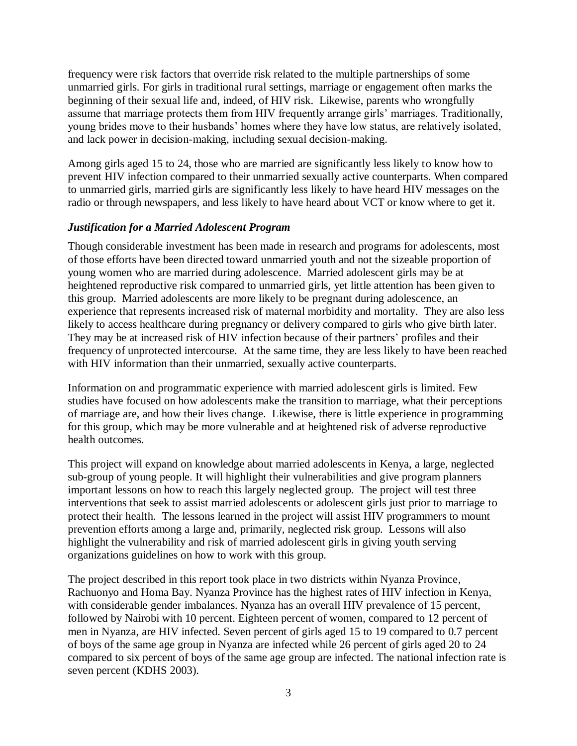frequency were risk factors that override risk related to the multiple partnerships of some unmarried girls. For girls in traditional rural settings, marriage or engagement often marks the beginning of their sexual life and, indeed, of HIV risk. Likewise, parents who wrongfully assume that marriage protects them from HIV frequently arrange girls' marriages. Traditionally, young brides move to their husbands" homes where they have low status, are relatively isolated, and lack power in decision-making, including sexual decision-making.

Among girls aged 15 to 24, those who are married are significantly less likely to know how to prevent HIV infection compared to their unmarried sexually active counterparts. When compared to unmarried girls, married girls are significantly less likely to have heard HIV messages on the radio or through newspapers, and less likely to have heard about VCT or know where to get it.

### *Justification for a Married Adolescent Program*

Though considerable investment has been made in research and programs for adolescents, most of those efforts have been directed toward unmarried youth and not the sizeable proportion of young women who are married during adolescence. Married adolescent girls may be at heightened reproductive risk compared to unmarried girls, yet little attention has been given to this group. Married adolescents are more likely to be pregnant during adolescence, an experience that represents increased risk of maternal morbidity and mortality. They are also less likely to access healthcare during pregnancy or delivery compared to girls who give birth later. They may be at increased risk of HIV infection because of their partners' profiles and their frequency of unprotected intercourse. At the same time, they are less likely to have been reached with HIV information than their unmarried, sexually active counterparts.

Information on and programmatic experience with married adolescent girls is limited. Few studies have focused on how adolescents make the transition to marriage, what their perceptions of marriage are, and how their lives change. Likewise, there is little experience in programming for this group, which may be more vulnerable and at heightened risk of adverse reproductive health outcomes.

This project will expand on knowledge about married adolescents in Kenya, a large, neglected sub-group of young people. It will highlight their vulnerabilities and give program planners important lessons on how to reach this largely neglected group. The project will test three interventions that seek to assist married adolescents or adolescent girls just prior to marriage to protect their health. The lessons learned in the project will assist HIV programmers to mount prevention efforts among a large and, primarily, neglected risk group. Lessons will also highlight the vulnerability and risk of married adolescent girls in giving youth serving organizations guidelines on how to work with this group.

The project described in this report took place in two districts within Nyanza Province, Rachuonyo and Homa Bay. Nyanza Province has the highest rates of HIV infection in Kenya, with considerable gender imbalances. Nyanza has an overall HIV prevalence of 15 percent, followed by Nairobi with 10 percent. Eighteen percent of women, compared to 12 percent of men in Nyanza, are HIV infected. Seven percent of girls aged 15 to 19 compared to 0.7 percent of boys of the same age group in Nyanza are infected while 26 percent of girls aged 20 to 24 compared to six percent of boys of the same age group are infected. The national infection rate is seven percent (KDHS 2003).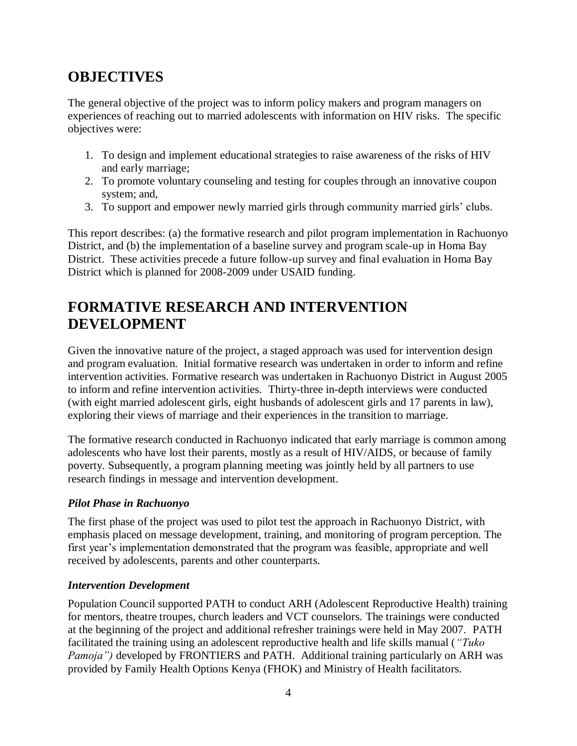## <span id="page-8-0"></span>**OBJECTIVES**

The general objective of the project was to inform policy makers and program managers on experiences of reaching out to married adolescents with information on HIV risks. The specific objectives were:

- 1. To design and implement educational strategies to raise awareness of the risks of HIV and early marriage;
- 2. To promote voluntary counseling and testing for couples through an innovative coupon system; and,
- 3. To support and empower newly married girls through community married girls" clubs.

This report describes: (a) the formative research and pilot program implementation in Rachuonyo District, and (b) the implementation of a baseline survey and program scale-up in Homa Bay District. These activities precede a future follow-up survey and final evaluation in Homa Bay District which is planned for 2008-2009 under USAID funding.

### <span id="page-8-1"></span>**FORMATIVE RESEARCH AND INTERVENTION DEVELOPMENT**

Given the innovative nature of the project, a staged approach was used for intervention design and program evaluation. Initial formative research was undertaken in order to inform and refine intervention activities. Formative research was undertaken in Rachuonyo District in August 2005 to inform and refine intervention activities. Thirty-three in-depth interviews were conducted (with eight married adolescent girls, eight husbands of adolescent girls and 17 parents in law), exploring their views of marriage and their experiences in the transition to marriage.

The formative research conducted in Rachuonyo indicated that early marriage is common among adolescents who have lost their parents, mostly as a result of HIV/AIDS, or because of family poverty. Subsequently, a program planning meeting was jointly held by all partners to use research findings in message and intervention development.

### *Pilot Phase in Rachuonyo*

The first phase of the project was used to pilot test the approach in Rachuonyo District, with emphasis placed on message development, training, and monitoring of program perception. The first year's implementation demonstrated that the program was feasible, appropriate and well received by adolescents, parents and other counterparts.

### *Intervention Development*

Population Council supported PATH to conduct ARH (Adolescent Reproductive Health) training for mentors, theatre troupes, church leaders and VCT counselors. The trainings were conducted at the beginning of the project and additional refresher trainings were held in May 2007. PATH facilitated the training using an adolescent reproductive health and life skills manual (*"Tuko Pamoja"*) developed by FRONTIERS and PATH. Additional training particularly on ARH was provided by Family Health Options Kenya (FHOK) and Ministry of Health facilitators.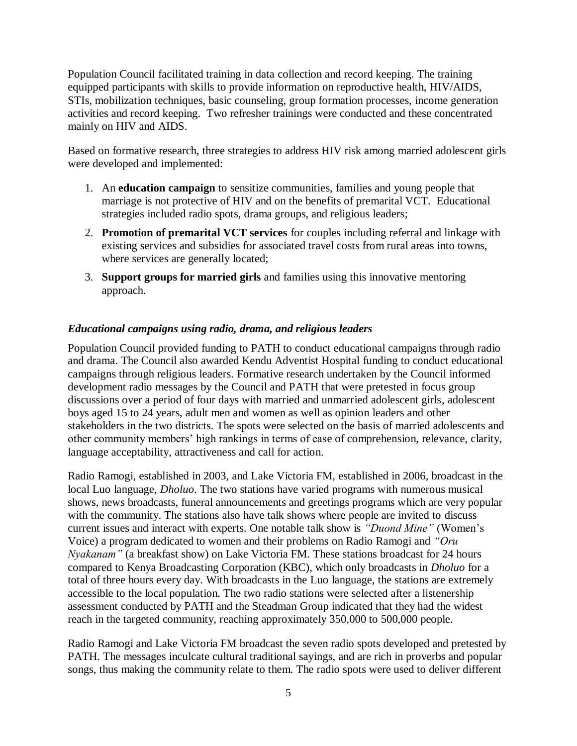Population Council facilitated training in data collection and record keeping. The training equipped participants with skills to provide information on reproductive health, HIV/AIDS, STIs, mobilization techniques, basic counseling, group formation processes, income generation activities and record keeping. Two refresher trainings were conducted and these concentrated mainly on HIV and AIDS.

Based on formative research, three strategies to address HIV risk among married adolescent girls were developed and implemented:

- 1. An **education campaign** to sensitize communities, families and young people that marriage is not protective of HIV and on the benefits of premarital VCT. Educational strategies included radio spots, drama groups, and religious leaders;
- 2. **Promotion of premarital VCT services** for couples including referral and linkage with existing services and subsidies for associated travel costs from rural areas into towns, where services are generally located;
- 3. **Support groups for married girls** and families using this innovative mentoring approach.

### *Educational campaigns using radio, drama, and religious leaders*

Population Council provided funding to PATH to conduct educational campaigns through radio and drama. The Council also awarded Kendu Adventist Hospital funding to conduct educational campaigns through religious leaders. Formative research undertaken by the Council informed development radio messages by the Council and PATH that were pretested in focus group discussions over a period of four days with married and unmarried adolescent girls, adolescent boys aged 15 to 24 years, adult men and women as well as opinion leaders and other stakeholders in the two districts. The spots were selected on the basis of married adolescents and other community members" high rankings in terms of ease of comprehension, relevance, clarity, language acceptability, attractiveness and call for action.

Radio Ramogi, established in 2003, and Lake Victoria FM, established in 2006, broadcast in the local Luo language, *Dholuo*. The two stations have varied programs with numerous musical shows, news broadcasts, funeral announcements and greetings programs which are very popular with the community. The stations also have talk shows where people are invited to discuss current issues and interact with experts. One notable talk show is *"Duond Mine"* (Women"s Voice) a program dedicated to women and their problems on Radio Ramogi and *"Oru Nyakanam"* (a breakfast show) on Lake Victoria FM. These stations broadcast for 24 hours compared to Kenya Broadcasting Corporation (KBC), which only broadcasts in *Dholuo* for a total of three hours every day. With broadcasts in the Luo language, the stations are extremely accessible to the local population. The two radio stations were selected after a listenership assessment conducted by PATH and the Steadman Group indicated that they had the widest reach in the targeted community, reaching approximately 350,000 to 500,000 people.

Radio Ramogi and Lake Victoria FM broadcast the seven radio spots developed and pretested by PATH. The messages inculcate cultural traditional sayings, and are rich in proverbs and popular songs, thus making the community relate to them. The radio spots were used to deliver different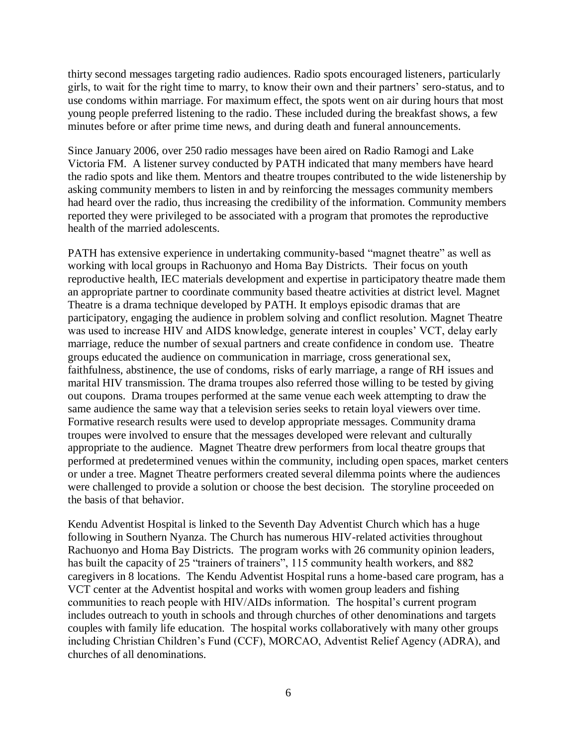thirty second messages targeting radio audiences. Radio spots encouraged listeners, particularly girls, to wait for the right time to marry, to know their own and their partners" sero-status, and to use condoms within marriage. For maximum effect, the spots went on air during hours that most young people preferred listening to the radio. These included during the breakfast shows, a few minutes before or after prime time news, and during death and funeral announcements.

Since January 2006, over 250 radio messages have been aired on Radio Ramogi and Lake Victoria FM. A listener survey conducted by PATH indicated that many members have heard the radio spots and like them. Mentors and theatre troupes contributed to the wide listenership by asking community members to listen in and by reinforcing the messages community members had heard over the radio, thus increasing the credibility of the information. Community members reported they were privileged to be associated with a program that promotes the reproductive health of the married adolescents.

PATH has extensive experience in undertaking community-based "magnet theatre" as well as working with local groups in Rachuonyo and Homa Bay Districts. Their focus on youth reproductive health, IEC materials development and expertise in participatory theatre made them an appropriate partner to coordinate community based theatre activities at district level. Magnet Theatre is a drama technique developed by PATH. It employs episodic dramas that are participatory, engaging the audience in problem solving and conflict resolution. Magnet Theatre was used to increase HIV and AIDS knowledge, generate interest in couples' VCT, delay early marriage, reduce the number of sexual partners and create confidence in condom use. Theatre groups educated the audience on communication in marriage, cross generational sex, faithfulness, abstinence, the use of condoms, risks of early marriage, a range of RH issues and marital HIV transmission. The drama troupes also referred those willing to be tested by giving out coupons. Drama troupes performed at the same venue each week attempting to draw the same audience the same way that a television series seeks to retain loyal viewers over time. Formative research results were used to develop appropriate messages. Community drama troupes were involved to ensure that the messages developed were relevant and culturally appropriate to the audience. Magnet Theatre drew performers from local theatre groups that performed at predetermined venues within the community, including open spaces, market centers or under a tree. Magnet Theatre performers created several dilemma points where the audiences were challenged to provide a solution or choose the best decision. The storyline proceeded on the basis of that behavior.

Kendu Adventist Hospital is linked to the Seventh Day Adventist Church which has a huge following in Southern Nyanza. The Church has numerous HIV-related activities throughout Rachuonyo and Homa Bay Districts. The program works with 26 community opinion leaders, has built the capacity of 25 "trainers of trainers", 115 community health workers, and 882 caregivers in 8 locations. The Kendu Adventist Hospital runs a home-based care program, has a VCT center at the Adventist hospital and works with women group leaders and fishing communities to reach people with HIV/AIDs information. The hospital's current program includes outreach to youth in schools and through churches of other denominations and targets couples with family life education. The hospital works collaboratively with many other groups including Christian Children"s Fund (CCF), MORCAO, Adventist Relief Agency (ADRA), and churches of all denominations.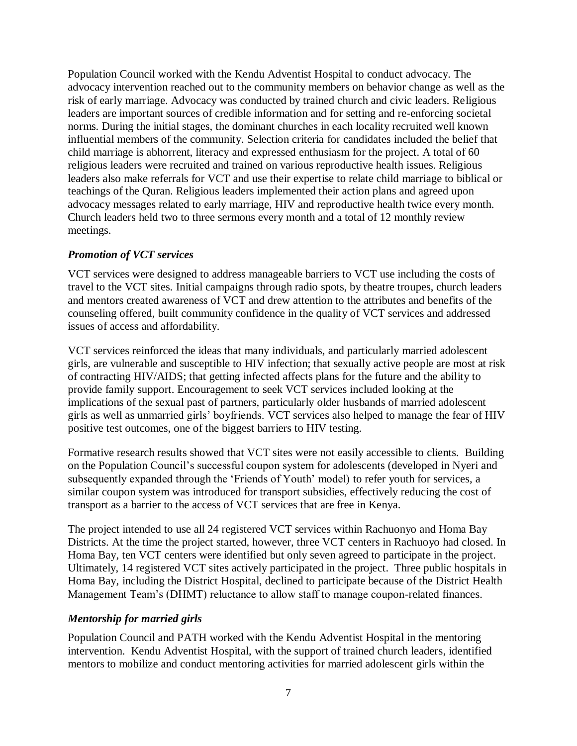Population Council worked with the Kendu Adventist Hospital to conduct advocacy. The advocacy intervention reached out to the community members on behavior change as well as the risk of early marriage. Advocacy was conducted by trained church and civic leaders. Religious leaders are important sources of credible information and for setting and re-enforcing societal norms. During the initial stages, the dominant churches in each locality recruited well known influential members of the community. Selection criteria for candidates included the belief that child marriage is abhorrent, literacy and expressed enthusiasm for the project. A total of 60 religious leaders were recruited and trained on various reproductive health issues. Religious leaders also make referrals for VCT and use their expertise to relate child marriage to biblical or teachings of the Quran. Religious leaders implemented their action plans and agreed upon advocacy messages related to early marriage, HIV and reproductive health twice every month. Church leaders held two to three sermons every month and a total of 12 monthly review meetings.

### *Promotion of VCT services*

VCT services were designed to address manageable barriers to VCT use including the costs of travel to the VCT sites. Initial campaigns through radio spots, by theatre troupes, church leaders and mentors created awareness of VCT and drew attention to the attributes and benefits of the counseling offered, built community confidence in the quality of VCT services and addressed issues of access and affordability.

VCT services reinforced the ideas that many individuals, and particularly married adolescent girls, are vulnerable and susceptible to HIV infection; that sexually active people are most at risk of contracting HIV/AIDS; that getting infected affects plans for the future and the ability to provide family support. Encouragement to seek VCT services included looking at the implications of the sexual past of partners, particularly older husbands of married adolescent girls as well as unmarried girls" boyfriends. VCT services also helped to manage the fear of HIV positive test outcomes, one of the biggest barriers to HIV testing.

Formative research results showed that VCT sites were not easily accessible to clients. Building on the Population Council"s successful coupon system for adolescents (developed in Nyeri and subsequently expanded through the 'Friends of Youth' model) to refer youth for services, a similar coupon system was introduced for transport subsidies, effectively reducing the cost of transport as a barrier to the access of VCT services that are free in Kenya.

The project intended to use all 24 registered VCT services within Rachuonyo and Homa Bay Districts. At the time the project started, however, three VCT centers in Rachuoyo had closed. In Homa Bay, ten VCT centers were identified but only seven agreed to participate in the project. Ultimately, 14 registered VCT sites actively participated in the project. Three public hospitals in Homa Bay, including the District Hospital, declined to participate because of the District Health Management Team"s (DHMT) reluctance to allow staff to manage coupon-related finances.

### *Mentorship for married girls*

Population Council and PATH worked with the Kendu Adventist Hospital in the mentoring intervention. Kendu Adventist Hospital, with the support of trained church leaders, identified mentors to mobilize and conduct mentoring activities for married adolescent girls within the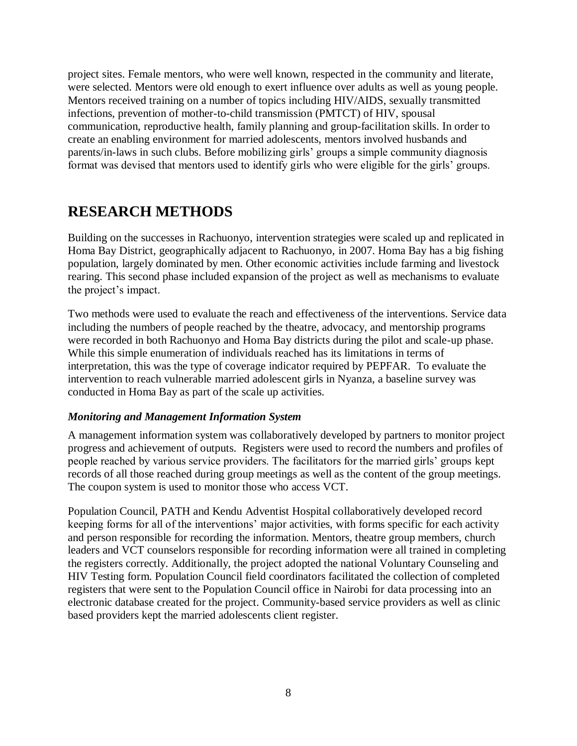project sites. Female mentors, who were well known, respected in the community and literate, were selected. Mentors were old enough to exert influence over adults as well as young people. Mentors received training on a number of topics including HIV/AIDS, sexually transmitted infections, prevention of mother-to-child transmission (PMTCT) of HIV, spousal communication, reproductive health, family planning and group-facilitation skills. In order to create an enabling environment for married adolescents, mentors involved husbands and parents/in-laws in such clubs. Before mobilizing girls" groups a simple community diagnosis format was devised that mentors used to identify girls who were eligible for the girls" groups.

### <span id="page-12-0"></span>**RESEARCH METHODS**

Building on the successes in Rachuonyo, intervention strategies were scaled up and replicated in Homa Bay District, geographically adjacent to Rachuonyo, in 2007. Homa Bay has a big fishing population, largely dominated by men. Other economic activities include farming and livestock rearing. This second phase included expansion of the project as well as mechanisms to evaluate the project's impact.

Two methods were used to evaluate the reach and effectiveness of the interventions. Service data including the numbers of people reached by the theatre, advocacy, and mentorship programs were recorded in both Rachuonyo and Homa Bay districts during the pilot and scale-up phase. While this simple enumeration of individuals reached has its limitations in terms of interpretation, this was the type of coverage indicator required by PEPFAR. To evaluate the intervention to reach vulnerable married adolescent girls in Nyanza, a baseline survey was conducted in Homa Bay as part of the scale up activities.

### *Monitoring and Management Information System*

A management information system was collaboratively developed by partners to monitor project progress and achievement of outputs. Registers were used to record the numbers and profiles of people reached by various service providers. The facilitators for the married girls" groups kept records of all those reached during group meetings as well as the content of the group meetings. The coupon system is used to monitor those who access VCT.

Population Council, PATH and Kendu Adventist Hospital collaboratively developed record keeping forms for all of the interventions" major activities, with forms specific for each activity and person responsible for recording the information. Mentors, theatre group members, church leaders and VCT counselors responsible for recording information were all trained in completing the registers correctly. Additionally, the project adopted the national Voluntary Counseling and HIV Testing form. Population Council field coordinators facilitated the collection of completed registers that were sent to the Population Council office in Nairobi for data processing into an electronic database created for the project. Community-based service providers as well as clinic based providers kept the married adolescents client register.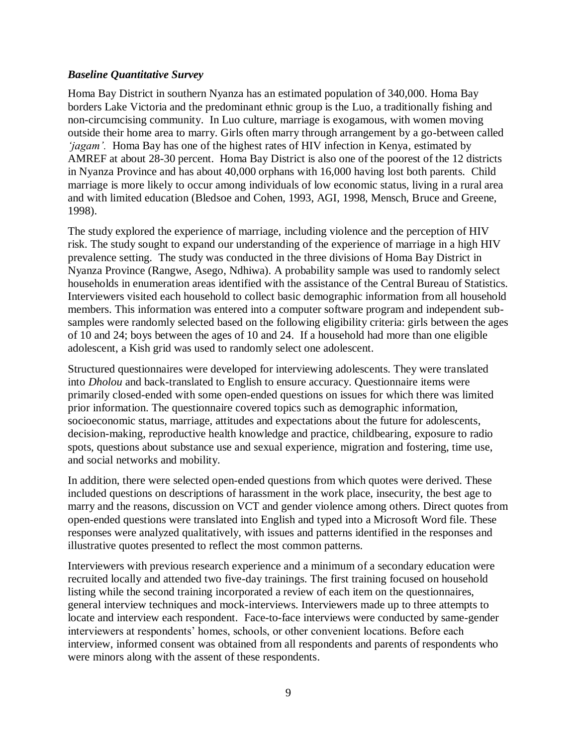#### *Baseline Quantitative Survey*

Homa Bay District in southern Nyanza has an estimated population of 340,000. Homa Bay borders Lake Victoria and the predominant ethnic group is the Luo*,* a traditionally fishing and non-circumcising community. In Luo culture, marriage is exogamous, with women moving outside their home area to marry. Girls often marry through arrangement by a go-between called *'jagam'.* Homa Bay has one of the highest rates of HIV infection in Kenya, estimated by AMREF at about 28-30 percent. Homa Bay District is also one of the poorest of the 12 districts in Nyanza Province and has about 40,000 orphans with 16,000 having lost both parents. Child marriage is more likely to occur among individuals of low economic status, living in a rural area and with limited education (Bledsoe and Cohen, 1993, AGI, 1998, Mensch, Bruce and Greene, 1998).

The study explored the experience of marriage, including violence and the perception of HIV risk. The study sought to expand our understanding of the experience of marriage in a high HIV prevalence setting. The study was conducted in the three divisions of Homa Bay District in Nyanza Province (Rangwe, Asego, Ndhiwa). A probability sample was used to randomly select households in enumeration areas identified with the assistance of the Central Bureau of Statistics. Interviewers visited each household to collect basic demographic information from all household members. This information was entered into a computer software program and independent subsamples were randomly selected based on the following eligibility criteria: girls between the ages of 10 and 24; boys between the ages of 10 and 24. If a household had more than one eligible adolescent, a Kish grid was used to randomly select one adolescent.

Structured questionnaires were developed for interviewing adolescents. They were translated into *Dholou* and back-translated to English to ensure accuracy. Questionnaire items were primarily closed-ended with some open-ended questions on issues for which there was limited prior information. The questionnaire covered topics such as demographic information, socioeconomic status, marriage, attitudes and expectations about the future for adolescents, decision-making, reproductive health knowledge and practice, childbearing, exposure to radio spots, questions about substance use and sexual experience, migration and fostering, time use, and social networks and mobility.

In addition, there were selected open-ended questions from which quotes were derived. These included questions on descriptions of harassment in the work place, insecurity, the best age to marry and the reasons, discussion on VCT and gender violence among others. Direct quotes from open-ended questions were translated into English and typed into a Microsoft Word file. These responses were analyzed qualitatively, with issues and patterns identified in the responses and illustrative quotes presented to reflect the most common patterns.

Interviewers with previous research experience and a minimum of a secondary education were recruited locally and attended two five-day trainings. The first training focused on household listing while the second training incorporated a review of each item on the questionnaires, general interview techniques and mock-interviews. Interviewers made up to three attempts to locate and interview each respondent. Face-to-face interviews were conducted by same-gender interviewers at respondents' homes, schools, or other convenient locations. Before each interview, informed consent was obtained from all respondents and parents of respondents who were minors along with the assent of these respondents.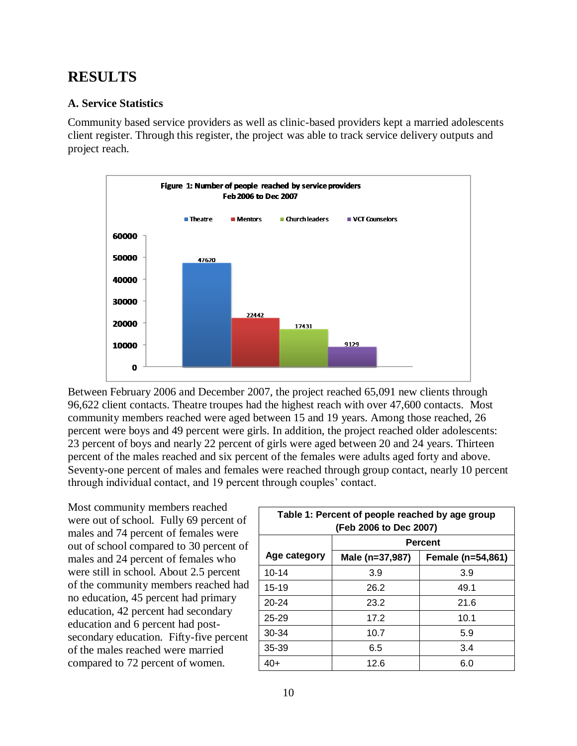### <span id="page-14-0"></span>**RESULTS**

#### **A. Service Statistics**

Community based service providers as well as clinic-based providers kept a married adolescents client register. Through this register, the project was able to track service delivery outputs and project reach.



Between February 2006 and December 2007, the project reached 65,091 new clients through 96,622 client contacts. Theatre troupes had the highest reach with over 47,600 contacts. Most community members reached were aged between 15 and 19 years. Among those reached, 26 percent were boys and 49 percent were girls. In addition, the project reached older adolescents: 23 percent of boys and nearly 22 percent of girls were aged between 20 and 24 years. Thirteen percent of the males reached and six percent of the females were adults aged forty and above. Seventy-one percent of males and females were reached through group contact, nearly 10 percent through individual contact, and 19 percent through couples" contact.

Most community members reached were out of school. Fully 69 percent of males and 74 percent of females were out of school compared to 30 percent of males and 24 percent of females who were still in school. About 2.5 percent of the community members reached had no education, 45 percent had primary education, 42 percent had secondary education and 6 percent had postsecondary education. Fifty-five percent of the males reached were married compared to 72 percent of women.

| Table 1: Percent of people reached by age group<br>(Feb 2006 to Dec 2007) |                 |                   |  |
|---------------------------------------------------------------------------|-----------------|-------------------|--|
|                                                                           | <b>Percent</b>  |                   |  |
| Age category                                                              | Male (n=37,987) | Female (n=54,861) |  |
| $10 - 14$                                                                 | 3.9             | 3.9               |  |
| $15-19$                                                                   | 26.2            | 49.1              |  |
| $20 - 24$                                                                 | 23.2            | 21.6              |  |
| $25-29$                                                                   | 17.2            | 10.1              |  |
| 30-34                                                                     | 10.7            | 5.9               |  |
| 35-39                                                                     | 6.5             | 3.4               |  |
| $40+$                                                                     | 12.6            | 6.0               |  |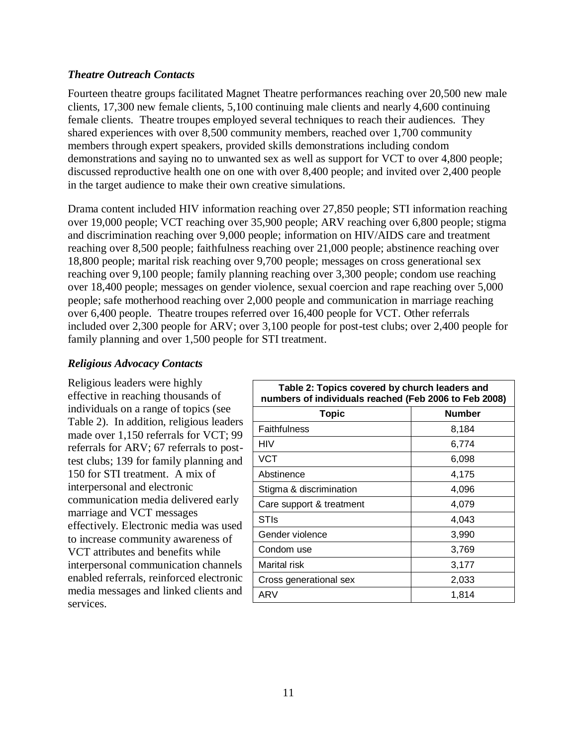#### *Theatre Outreach Contacts*

Fourteen theatre groups facilitated Magnet Theatre performances reaching over 20,500 new male clients, 17,300 new female clients, 5,100 continuing male clients and nearly 4,600 continuing female clients. Theatre troupes employed several techniques to reach their audiences. They shared experiences with over 8,500 community members, reached over 1,700 community members through expert speakers, provided skills demonstrations including condom demonstrations and saying no to unwanted sex as well as support for VCT to over 4,800 people; discussed reproductive health one on one with over 8,400 people; and invited over 2,400 people in the target audience to make their own creative simulations.

Drama content included HIV information reaching over 27,850 people; STI information reaching over 19,000 people; VCT reaching over 35,900 people; ARV reaching over 6,800 people; stigma and discrimination reaching over 9,000 people; information on HIV/AIDS care and treatment reaching over 8,500 people; faithfulness reaching over 21,000 people; abstinence reaching over 18,800 people; marital risk reaching over 9,700 people; messages on cross generational sex reaching over 9,100 people; family planning reaching over 3,300 people; condom use reaching over 18,400 people; messages on gender violence, sexual coercion and rape reaching over 5,000 people; safe motherhood reaching over 2,000 people and communication in marriage reaching over 6,400 people. Theatre troupes referred over 16,400 people for VCT. Other referrals included over 2,300 people for ARV; over 3,100 people for post-test clubs; over 2,400 people for family planning and over 1,500 people for STI treatment.

### *Religious Advocacy Contacts*

Religious leaders were highly effective in reaching thousands of individuals on a range of topics (see Table 2). In addition, religious leaders made over 1,150 referrals for VCT; 99 referrals for ARV; 67 referrals to posttest clubs; 139 for family planning and 150 for STI treatment. A mix of interpersonal and electronic communication media delivered early marriage and VCT messages effectively. Electronic media was used to increase community awareness of VCT attributes and benefits while interpersonal communication channels enabled referrals, reinforced electronic media messages and linked clients and services.

| Table 2: Topics covered by church leaders and<br>numbers of individuals reached (Feb 2006 to Feb 2008) |               |  |
|--------------------------------------------------------------------------------------------------------|---------------|--|
| <b>Topic</b>                                                                                           | <b>Number</b> |  |
| Faithfulness                                                                                           | 8.184         |  |
| HIV                                                                                                    | 6,774         |  |
| VCT                                                                                                    | 6,098         |  |
| Abstinence                                                                                             | 4,175         |  |
| Stigma & discrimination                                                                                | 4,096         |  |
| Care support & treatment                                                                               | 4,079         |  |
| STIs                                                                                                   | 4,043         |  |
| Gender violence                                                                                        | 3,990         |  |
| Condom use                                                                                             | 3,769         |  |
| Marital risk                                                                                           | 3,177         |  |
| Cross generational sex                                                                                 | 2,033         |  |
| ARV                                                                                                    | 1,814         |  |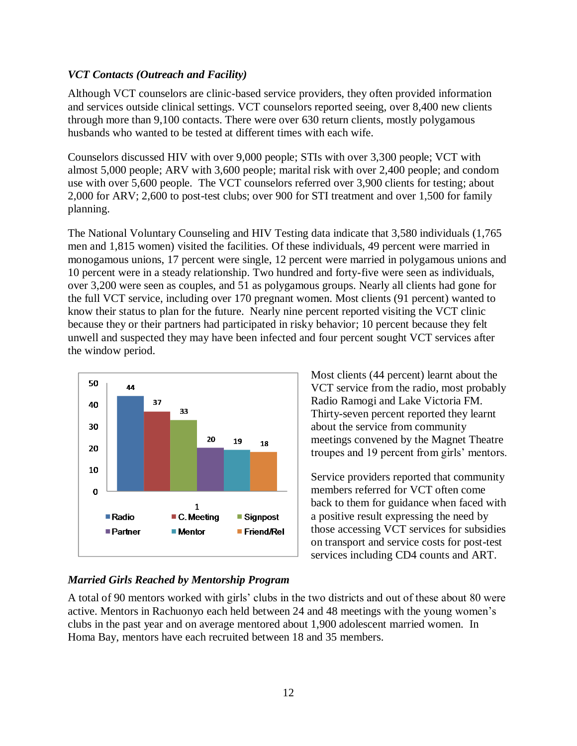### *VCT Contacts (Outreach and Facility)*

Although VCT counselors are clinic-based service providers, they often provided information and services outside clinical settings. VCT counselors reported seeing, over 8,400 new clients through more than 9,100 contacts. There were over 630 return clients, mostly polygamous husbands who wanted to be tested at different times with each wife.

Counselors discussed HIV with over 9,000 people; STIs with over 3,300 people; VCT with almost 5,000 people; ARV with 3,600 people; marital risk with over 2,400 people; and condom use with over 5,600 people. The VCT counselors referred over 3,900 clients for testing; about 2,000 for ARV; 2,600 to post-test clubs; over 900 for STI treatment and over 1,500 for family planning.

The National Voluntary Counseling and HIV Testing data indicate that 3,580 individuals (1,765 men and 1,815 women) visited the facilities. Of these individuals, 49 percent were married in monogamous unions, 17 percent were single, 12 percent were married in polygamous unions and 10 percent were in a steady relationship. Two hundred and forty-five were seen as individuals, over 3,200 were seen as couples, and 51 as polygamous groups. Nearly all clients had gone for the full VCT service, including over 170 pregnant women. Most clients (91 percent) wanted to know their status to plan for the future. Nearly nine percent reported visiting the VCT clinic because they or their partners had participated in risky behavior; 10 percent because they felt unwell and suspected they may have been infected and four percent sought VCT services after the window period.



Most clients (44 percent) learnt about the VCT service from the radio, most probably Radio Ramogi and Lake Victoria FM. Thirty-seven percent reported they learnt about the service from community meetings convened by the Magnet Theatre troupes and 19 percent from girls' mentors.

Service providers reported that community members referred for VCT often come back to them for guidance when faced with a positive result expressing the need by those accessing VCT services for subsidies on transport and service costs for post-test services including CD4 counts and ART.

#### *Married Girls Reached by Mentorship Program*

A total of 90 mentors worked with girls" clubs in the two districts and out of these about 80 were active. Mentors in Rachuonyo each held between 24 and 48 meetings with the young women"s clubs in the past year and on average mentored about 1,900 adolescent married women. In Homa Bay, mentors have each recruited between 18 and 35 members.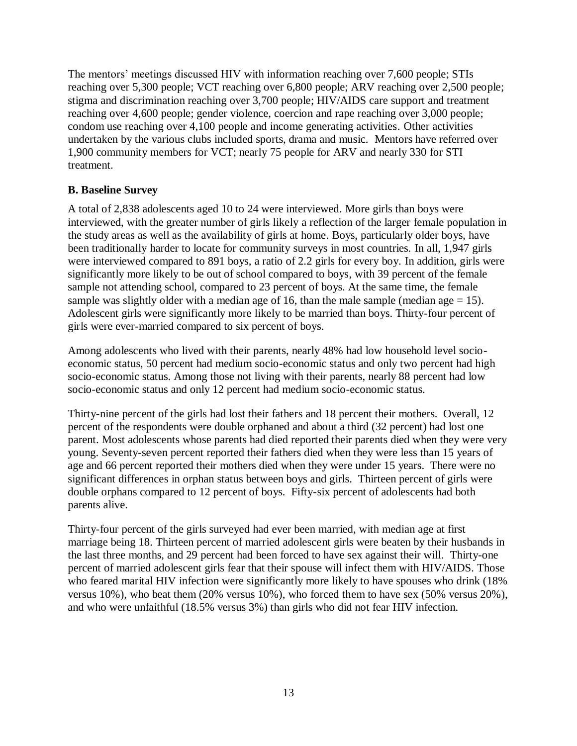The mentors" meetings discussed HIV with information reaching over 7,600 people; STIs reaching over 5,300 people; VCT reaching over 6,800 people; ARV reaching over 2,500 people; stigma and discrimination reaching over 3,700 people; HIV/AIDS care support and treatment reaching over 4,600 people; gender violence, coercion and rape reaching over 3,000 people; condom use reaching over 4,100 people and income generating activities. Other activities undertaken by the various clubs included sports, drama and music. Mentors have referred over 1,900 community members for VCT; nearly 75 people for ARV and nearly 330 for STI treatment.

### **B. Baseline Survey**

A total of 2,838 adolescents aged 10 to 24 were interviewed. More girls than boys were interviewed, with the greater number of girls likely a reflection of the larger female population in the study areas as well as the availability of girls at home. Boys, particularly older boys, have been traditionally harder to locate for community surveys in most countries. In all, 1,947 girls were interviewed compared to 891 boys, a ratio of 2.2 girls for every boy. In addition, girls were significantly more likely to be out of school compared to boys, with 39 percent of the female sample not attending school, compared to 23 percent of boys. At the same time, the female sample was slightly older with a median age of 16, than the male sample (median age  $= 15$ ). Adolescent girls were significantly more likely to be married than boys. Thirty-four percent of girls were ever-married compared to six percent of boys.

Among adolescents who lived with their parents, nearly 48% had low household level socioeconomic status, 50 percent had medium socio-economic status and only two percent had high socio-economic status. Among those not living with their parents, nearly 88 percent had low socio-economic status and only 12 percent had medium socio-economic status.

Thirty-nine percent of the girls had lost their fathers and 18 percent their mothers. Overall, 12 percent of the respondents were double orphaned and about a third (32 percent) had lost one parent. Most adolescents whose parents had died reported their parents died when they were very young. Seventy-seven percent reported their fathers died when they were less than 15 years of age and 66 percent reported their mothers died when they were under 15 years. There were no significant differences in orphan status between boys and girls. Thirteen percent of girls were double orphans compared to 12 percent of boys. Fifty-six percent of adolescents had both parents alive.

Thirty-four percent of the girls surveyed had ever been married, with median age at first marriage being 18. Thirteen percent of married adolescent girls were beaten by their husbands in the last three months, and 29 percent had been forced to have sex against their will. Thirty-one percent of married adolescent girls fear that their spouse will infect them with HIV/AIDS. Those who feared marital HIV infection were significantly more likely to have spouses who drink (18% versus 10%), who beat them (20% versus 10%), who forced them to have sex (50% versus 20%), and who were unfaithful (18.5% versus 3%) than girls who did not fear HIV infection.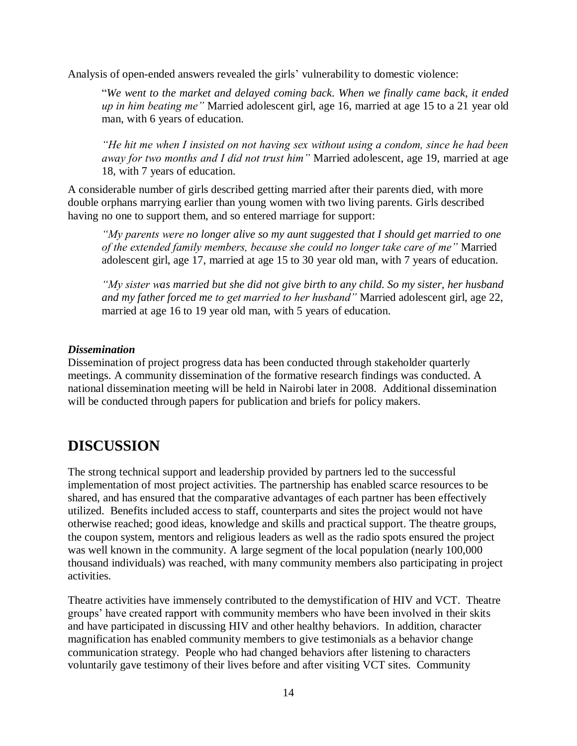Analysis of open-ended answers revealed the girls' vulnerability to domestic violence:

"*We went to the market and delayed coming back. When we finally came back, it ended up in him beating me"* Married adolescent girl, age 16, married at age 15 to a 21 year old man, with 6 years of education.

*"He hit me when I insisted on not having sex without using a condom, since he had been away for two months and I did not trust him"* Married adolescent, age 19, married at age 18, with 7 years of education.

A considerable number of girls described getting married after their parents died, with more double orphans marrying earlier than young women with two living parents. Girls described having no one to support them, and so entered marriage for support:

*"My parents were no longer alive so my aunt suggested that I should get married to one of the extended family members, because she could no longer take care of me"* Married adolescent girl, age 17, married at age 15 to 30 year old man, with 7 years of education.

*"My sister was married but she did not give birth to any child. So my sister, her husband and my father forced me to get married to her husband"* Married adolescent girl, age 22, married at age 16 to 19 year old man, with 5 years of education.

### *Dissemination*

Dissemination of project progress data has been conducted through stakeholder quarterly meetings. A community dissemination of the formative research findings was conducted. A national dissemination meeting will be held in Nairobi later in 2008. Additional dissemination will be conducted through papers for publication and briefs for policy makers.

### <span id="page-18-0"></span>**DISCUSSION**

The strong technical support and leadership provided by partners led to the successful implementation of most project activities. The partnership has enabled scarce resources to be shared, and has ensured that the comparative advantages of each partner has been effectively utilized. Benefits included access to staff, counterparts and sites the project would not have otherwise reached; good ideas, knowledge and skills and practical support. The theatre groups, the coupon system, mentors and religious leaders as well as the radio spots ensured the project was well known in the community. A large segment of the local population (nearly 100,000 thousand individuals) was reached, with many community members also participating in project activities.

Theatre activities have immensely contributed to the demystification of HIV and VCT. Theatre groups" have created rapport with community members who have been involved in their skits and have participated in discussing HIV and other healthy behaviors. In addition, character magnification has enabled community members to give testimonials as a behavior change communication strategy. People who had changed behaviors after listening to characters voluntarily gave testimony of their lives before and after visiting VCT sites. Community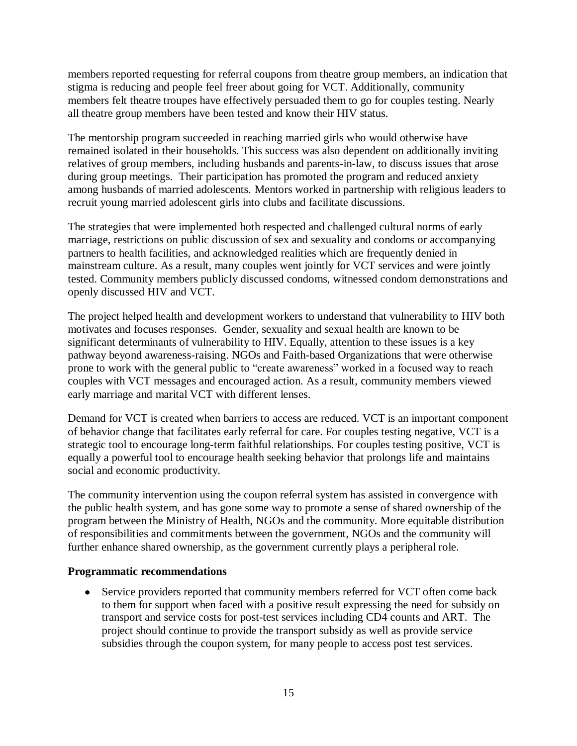members reported requesting for referral coupons from theatre group members, an indication that stigma is reducing and people feel freer about going for VCT. Additionally, community members felt theatre troupes have effectively persuaded them to go for couples testing. Nearly all theatre group members have been tested and know their HIV status.

The mentorship program succeeded in reaching married girls who would otherwise have remained isolated in their households. This success was also dependent on additionally inviting relatives of group members, including husbands and parents-in-law, to discuss issues that arose during group meetings. Their participation has promoted the program and reduced anxiety among husbands of married adolescents. Mentors worked in partnership with religious leaders to recruit young married adolescent girls into clubs and facilitate discussions.

The strategies that were implemented both respected and challenged cultural norms of early marriage, restrictions on public discussion of sex and sexuality and condoms or accompanying partners to health facilities, and acknowledged realities which are frequently denied in mainstream culture. As a result, many couples went jointly for VCT services and were jointly tested. Community members publicly discussed condoms, witnessed condom demonstrations and openly discussed HIV and VCT.

The project helped health and development workers to understand that vulnerability to HIV both motivates and focuses responses. Gender, sexuality and sexual health are known to be significant determinants of vulnerability to HIV. Equally, attention to these issues is a key pathway beyond awareness-raising. NGOs and Faith-based Organizations that were otherwise prone to work with the general public to "create awareness" worked in a focused way to reach couples with VCT messages and encouraged action. As a result, community members viewed early marriage and marital VCT with different lenses.

Demand for VCT is created when barriers to access are reduced. VCT is an important component of behavior change that facilitates early referral for care. For couples testing negative, VCT is a strategic tool to encourage long-term faithful relationships. For couples testing positive, VCT is equally a powerful tool to encourage health seeking behavior that prolongs life and maintains social and economic productivity.

The community intervention using the coupon referral system has assisted in convergence with the public health system, and has gone some way to promote a sense of shared ownership of the program between the Ministry of Health, NGOs and the community. More equitable distribution of responsibilities and commitments between the government, NGOs and the community will further enhance shared ownership, as the government currently plays a peripheral role.

#### **Programmatic recommendations**

Service providers reported that community members referred for VCT often come back to them for support when faced with a positive result expressing the need for subsidy on transport and service costs for post-test services including CD4 counts and ART. The project should continue to provide the transport subsidy as well as provide service subsidies through the coupon system, for many people to access post test services.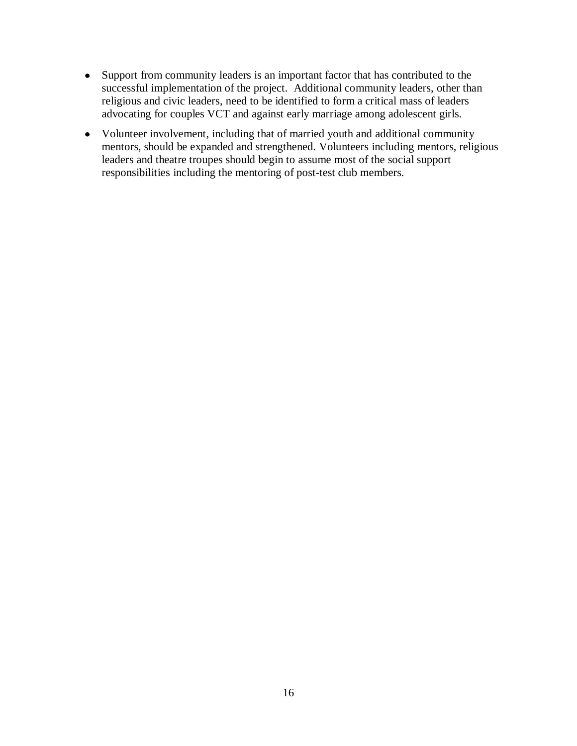- Support from community leaders is an important factor that has contributed to the successful implementation of the project. Additional community leaders, other than religious and civic leaders, need to be identified to form a critical mass of leaders advocating for couples VCT and against early marriage among adolescent girls.
- Volunteer involvement, including that of married youth and additional community mentors, should be expanded and strengthened. Volunteers including mentors, religious leaders and theatre troupes should begin to assume most of the social support responsibilities including the mentoring of post-test club members.